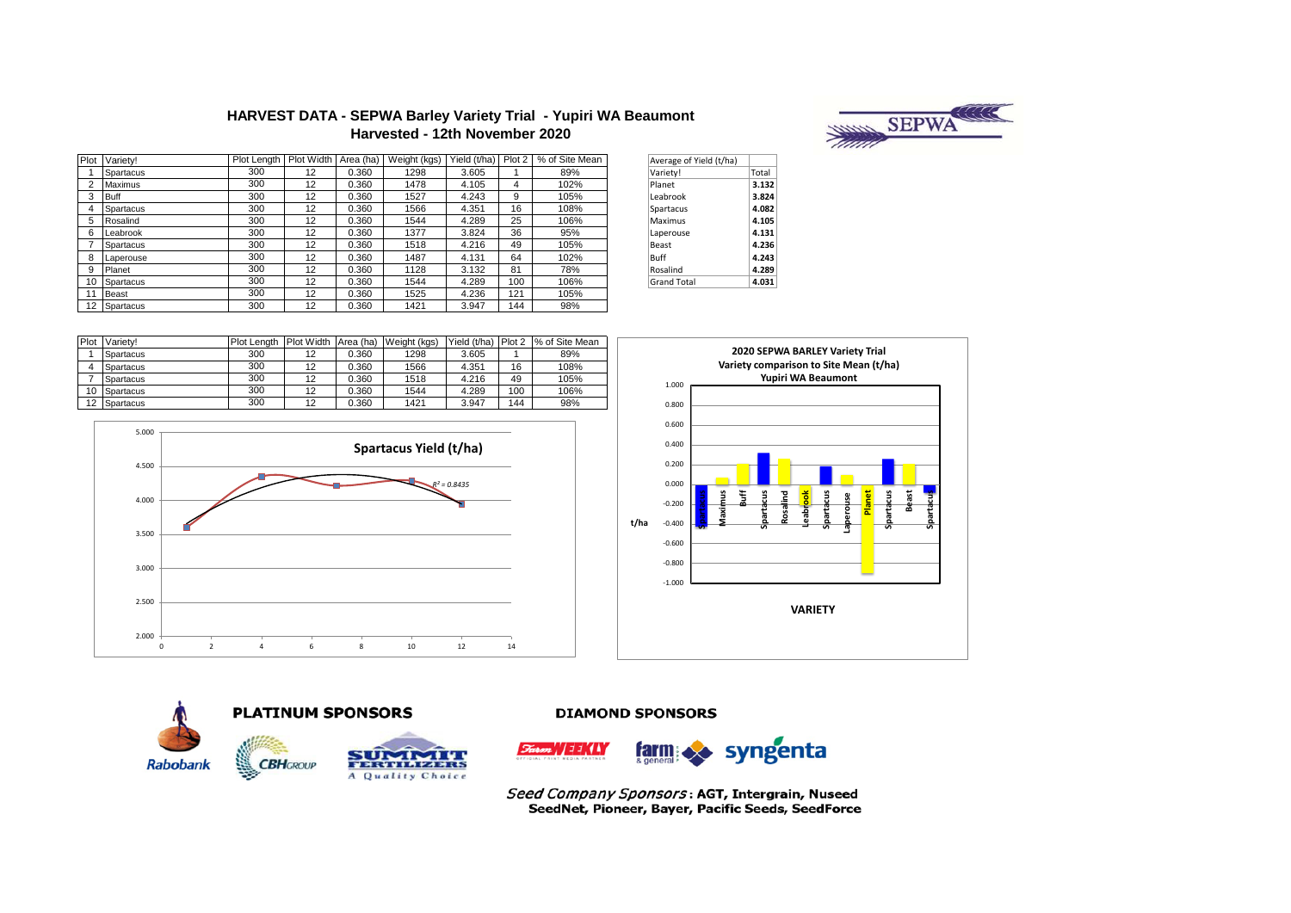## **HARVEST DATA - SEPWA Barley Variety Trial - Yupiri WA Beaumont Harvested - 12th November 2020**



|   | Plot Variety! | Plot Length Plot Width Area (ha) |    |       | Weight (kgs) | Yield (t/ha) | Plot 2 | % of Site Mean | Average of Yield (t/ha) |       |
|---|---------------|----------------------------------|----|-------|--------------|--------------|--------|----------------|-------------------------|-------|
|   | Spartacus     | 300                              | 12 | 0.360 | 1298         | 3.605        |        | 89%            | Variety!                | Total |
|   | Maximus       | 300                              | 12 | 0.360 | 1478         | 4.105        | 4      | 102%           | Planet                  | 3.132 |
|   | <b>Buff</b>   | 300                              | 12 | 0.360 | 1527         | 4.243        | 9      | 105%           | Leabrook                | 3.824 |
|   | Spartacus     | 300                              | 12 | 0.360 | 1566         | 4.351        | 16     | 108%           | Spartacus               | 4.082 |
| 5 | Rosalind      | 300                              | 12 | 0.360 | 1544         | 4.289        | 25     | 106%           | Maximus                 | 4.105 |
| 6 | Leabrook      | 300                              | 12 | 0.360 | 1377         | 3.824        | 36     | 95%            | Laperouse               | 4.131 |
|   | Spartacus     | 300                              | 12 | 0.360 | 1518         | 4.216        | 49     | 105%           | Beast                   | 4.236 |
|   | Laperouse     | 300                              | 12 | 0.360 | 1487         | 4.131        | 64     | 102%           | Buff                    | 4.243 |
| 9 | Planet        | 300                              | 12 | 0.360 | 1128         | 3.132        | 81     | 78%            | Rosalind                | 4.289 |
|   | 10 Spartacus  | 300                              | 12 | 0.360 | 1544         | 4.289        | 100    | 106%           | <b>Grand Total</b>      | 4.031 |
|   | Beast         | 300                              | 12 | 0.360 | 1525         | 4.236        | 121    | 105%           |                         |       |
|   | 12 Spartacus  | 300                              | 12 | 0.360 | 1421         | 3.947        | 144    | 98%            |                         |       |

| Average of Yield (t/ha) |       |
|-------------------------|-------|
| Variety!                | Total |
| Planet                  | 3.132 |
| Leabrook                | 3.824 |
| Spartacus               | 4.082 |
| Maximus                 | 4.105 |
| Laperouse               | 4.131 |
| <b>Beast</b>            | 4.236 |
| <b>Buff</b>             | 4.243 |
| Rosalind                | 4.289 |
| <b>Grand Total</b>      | 4.031 |

| Plot | Variety!  | <b>Plot Lenath</b> | <b>Plot Width</b> |       | Area (ha) Weight (kgs) | Yield (t/ha) | Plot 2 | % of Site Mean |
|------|-----------|--------------------|-------------------|-------|------------------------|--------------|--------|----------------|
|      | Spartacus | 300                | 12                | 0.360 | 1298                   | 3.605        |        | 89%            |
| 4    | Spartacus | 300                | 12                | 0.360 | 1566                   | 4.351        | 16     | 108%           |
|      | Spartacus | 300                | 12                | 0.360 | 1518                   | 4.216        | 49     | 105%           |
| 10   | Spartacus | 300                | 12                | 0.360 | 1544                   | 4.289        | 100    | 106%           |
| 12   | Spartacus | 300                | 12                | 0.360 | 1421                   | 3.947        | 144    | 98%            |



**PLATINUM SPONSORS** 







**DIAMOND SPONSORS** 



Seed Company Sponsors: AGT, Intergrain, Nuseed SeedNet, Pioneer, Bayer, Pacific Seeds, SeedForce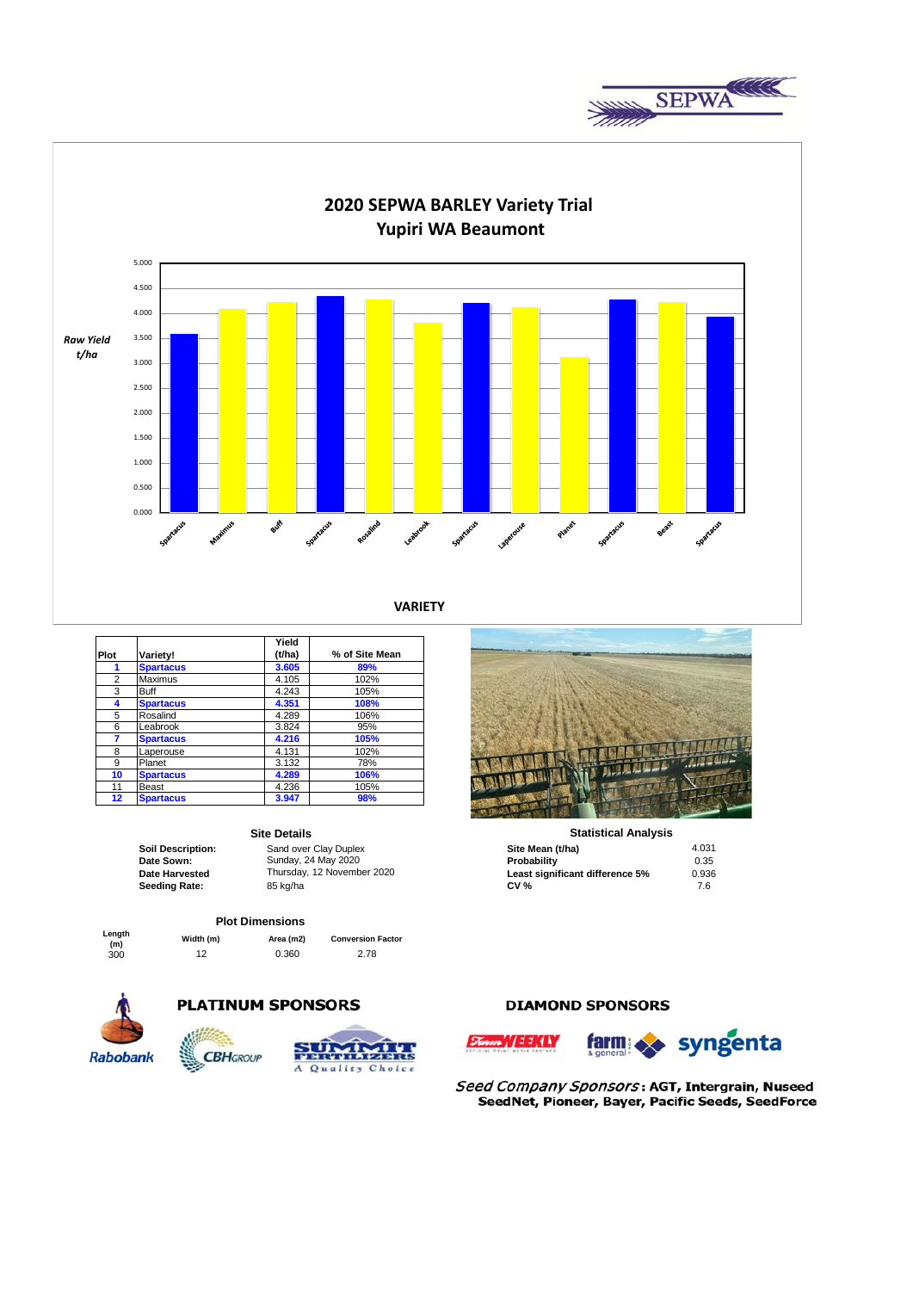



**VARIETY**

|      |                  | Yield  |                |
|------|------------------|--------|----------------|
| Plot | Variety!         | (t/ha) | % of Site Mean |
| 1    | <b>Spartacus</b> | 3.605  | 89%            |
| 2    | Maximus          | 4.105  | 102%           |
| 3    | <b>Buff</b>      | 4.243  | 105%           |
| 4    | <b>Spartacus</b> | 4.351  | 108%           |
| 5    | Rosalind         | 4.289  | 106%           |
| 6    | Leabrook         | 3.824  | 95%            |
| 7    | <b>Spartacus</b> | 4.216  | 105%           |
| 8    | Laperouse        | 4.131  | 102%           |
| 9    | Planet           | 3.132  | 78%            |
| 10   | <b>Spartacus</b> | 4.289  | 106%           |
| 11   | Beast            | 4.236  | 105%           |
| 12   | <b>Spartacus</b> | 3.947  | 98%            |

### **Site Details**

### **Plot Dimensions**

**(m) Width (m) Area (m2) Conversion Factor**

300 12 0.360 2.78



**Length** 

# **PLATINUM SPONSORS**



## **DIAMOND SPONSORS**

WEEKLY



farm syngenta

Seed Company Sponsors: AGT, Intergrain, Nuseed SeedNet, Pioneer, Bayer, Pacific Seeds, SeedForce



#### **Statistical Analysis**

| <b>Soil Description:</b> | Sand over Clay Duplex      | Site Mean (t/ha)                | 4.031 |
|--------------------------|----------------------------|---------------------------------|-------|
| Date Sown:               | Sunday, 24 May 2020        | Probability                     | 0.35  |
| <b>Date Harvested</b>    | Thursday, 12 November 2020 | Least significant difference 5% | 0.936 |
| Seeding Rate:            | 85 kg/ha                   | <b>CV %</b>                     | 7.6   |